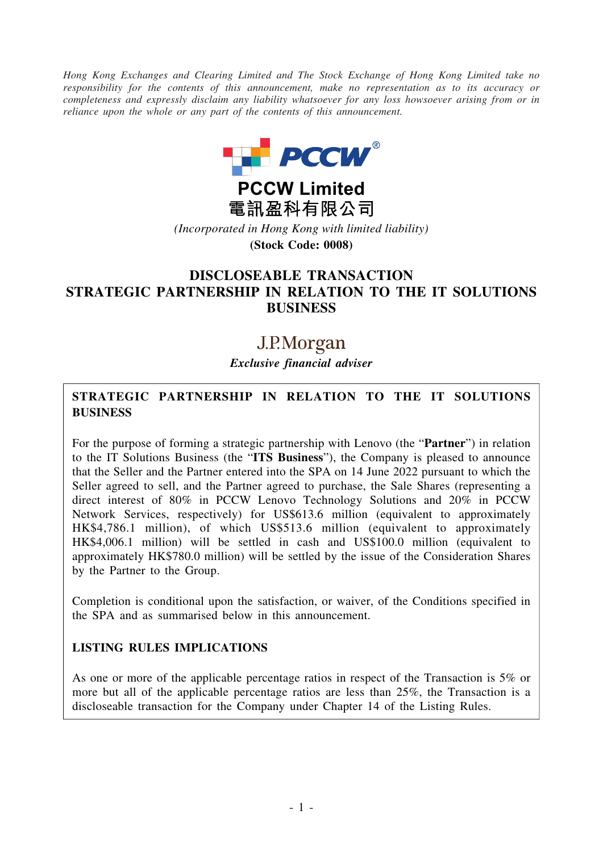*Hong Kong Exchanges and Clearing Limited and The Stock Exchange of Hong Kong Limited take no responsibility for the contents of this announcement, make no representation as to its accuracy or completeness and expressly disclaim any liability whatsoever for any loss howsoever arising from or in reliance upon the whole or any part of the contents of this announcement.*



**PCCW Limited** 電訊盈科有限公司 *(Incorporated in Hong Kong with limited liability)*

**(Stock Code: 0008)**

# **DISCLOSEABLE TRANSACTION STRATEGIC PARTNERSHIP IN RELATION TO THE IT SOLUTIONS BUSINESS**

# J.P.Morgan

*Exclusive financial adviser*

## **STRATEGIC PARTNERSHIP IN RELATION TO THE IT SOLUTIONS BUSINESS**

For the purpose of forming a strategic partnership with Lenovo (the "**Partner**") in relation to the IT Solutions Business (the "**ITS Business**"), the Company is pleased to announce that the Seller and the Partner entered into the SPA on 14 June 2022 pursuant to which the Seller agreed to sell, and the Partner agreed to purchase, the Sale Shares (representing a direct interest of 80% in PCCW Lenovo Technology Solutions and 20% in PCCW Network Services, respectively) for US\$613.6 million (equivalent to approximately HK\$4,786.1 million), of which US\$513.6 million (equivalent to approximately HK\$4,006.1 million) will be settled in cash and US\$100.0 million (equivalent to approximately HK\$780.0 million) will be settled by the issue of the Consideration Shares by the Partner to the Group.

Completion is conditional upon the satisfaction, or waiver, of the Conditions specified in the SPA and as summarised below in this announcement.

### **LISTING RULES IMPLICATIONS**

As one or more of the applicable percentage ratios in respect of the Transaction is 5% or more but all of the applicable percentage ratios are less than 25%, the Transaction is a discloseable transaction for the Company under Chapter 14 of the Listing Rules.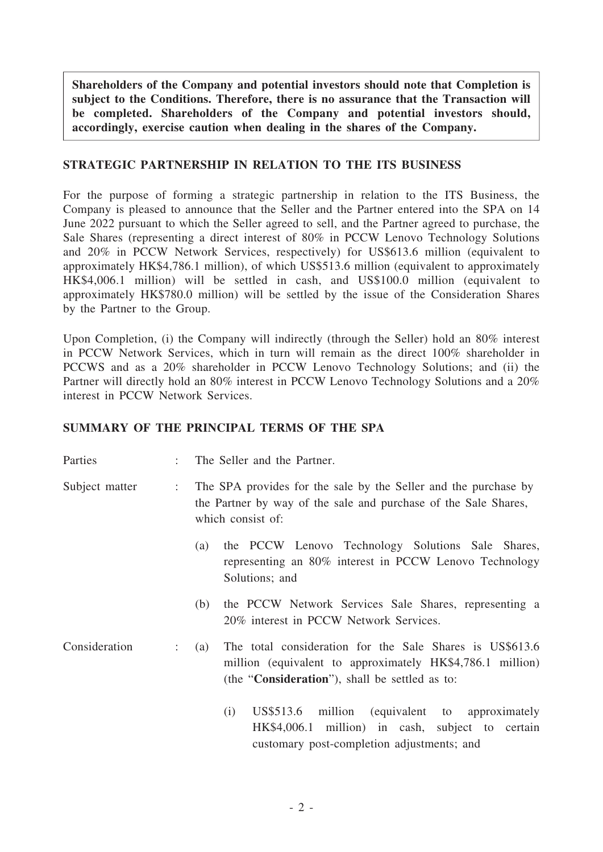**Shareholders of the Company and potential investors should note that Completion is subject to the Conditions. Therefore, there is no assurance that the Transaction will be completed. Shareholders of the Company and potential investors should, accordingly, exercise caution when dealing in the shares of the Company.**

#### **STRATEGIC PARTNERSHIP IN RELATION TO THE ITS BUSINESS**

For the purpose of forming a strategic partnership in relation to the ITS Business, the Company is pleased to announce that the Seller and the Partner entered into the SPA on 14 June 2022 pursuant to which the Seller agreed to sell, and the Partner agreed to purchase, the Sale Shares (representing a direct interest of 80% in PCCW Lenovo Technology Solutions and 20% in PCCW Network Services, respectively) for US\$613.6 million (equivalent to approximately HK\$4,786.1 million), of which US\$513.6 million (equivalent to approximately HK\$4,006.1 million) will be settled in cash, and US\$100.0 million (equivalent to approximately HK\$780.0 million) will be settled by the issue of the Consideration Shares by the Partner to the Group.

Upon Completion, (i) the Company will indirectly (through the Seller) hold an 80% interest in PCCW Network Services, which in turn will remain as the direct 100% shareholder in PCCWS and as a 20% shareholder in PCCW Lenovo Technology Solutions; and (ii) the Partner will directly hold an 80% interest in PCCW Lenovo Technology Solutions and a 20% interest in PCCW Network Services.

### **SUMMARY OF THE PRINCIPAL TERMS OF THE SPA**

| Parties        | ÷                         | The Seller and the Partner.                                                                                                                                                             |
|----------------|---------------------------|-----------------------------------------------------------------------------------------------------------------------------------------------------------------------------------------|
| Subject matter | $\ddot{\phantom{a}}$      | The SPA provides for the sale by the Seller and the purchase by<br>the Partner by way of the sale and purchase of the Sale Shares,<br>which consist of:                                 |
|                |                           | the PCCW Lenovo Technology Solutions Sale Shares,<br>(a)<br>representing an 80% interest in PCCW Lenovo Technology<br>Solutions; and                                                    |
|                |                           | the PCCW Network Services Sale Shares, representing a<br>(b)<br>20% interest in PCCW Network Services.                                                                                  |
| Consideration  | $\mathbb{Z}^{\mathbb{Z}}$ | The total consideration for the Sale Shares is US\$613.6<br>(a)<br>million (equivalent to approximately HK\$4,786.1 million)<br>(the " <b>Consideration</b> "), shall be settled as to: |
|                |                           | US\$513.6 million (equivalent to approximately<br>(i)<br>HK\$4,006.1 million) in cash, subject to certain<br>customary post-completion adjustments; and                                 |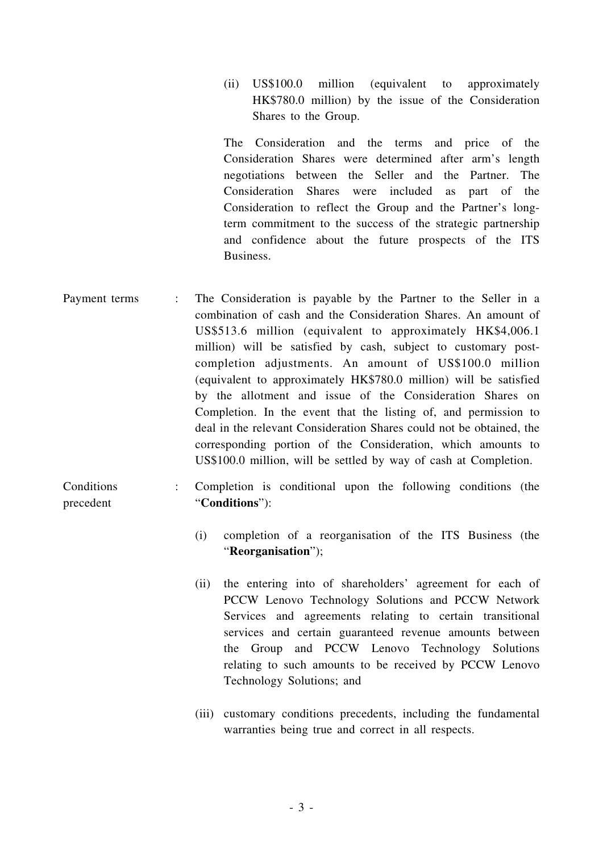(ii) US\$100.0 million (equivalent to approximately HK\$780.0 million) by the issue of the Consideration Shares to the Group.

The Consideration and the terms and price of the Consideration Shares were determined after arm's length negotiations between the Seller and the Partner. The Consideration Shares were included as part of the Consideration to reflect the Group and the Partner's longterm commitment to the success of the strategic partnership and confidence about the future prospects of the ITS Business.

Payment terms : The Consideration is payable by the Partner to the Seller in a combination of cash and the Consideration Shares. An amount of US\$513.6 million (equivalent to approximately HK\$4,006.1 million) will be satisfied by cash, subject to customary postcompletion adjustments. An amount of US\$100.0 million (equivalent to approximately HK\$780.0 million) will be satisfied by the allotment and issue of the Consideration Shares on Completion. In the event that the listing of, and permission to deal in the relevant Consideration Shares could not be obtained, the corresponding portion of the Consideration, which amounts to US\$100.0 million, will be settled by way of cash at Completion.

**Conditions** precedent : Completion is conditional upon the following conditions (the "**Conditions**"):

- (i) completion of a reorganisation of the ITS Business (the "**Reorganisation**");
- (ii) the entering into of shareholders' agreement for each of PCCW Lenovo Technology Solutions and PCCW Network Services and agreements relating to certain transitional services and certain guaranteed revenue amounts between the Group and PCCW Lenovo Technology Solutions relating to such amounts to be received by PCCW Lenovo Technology Solutions; and
- (iii) customary conditions precedents, including the fundamental warranties being true and correct in all respects.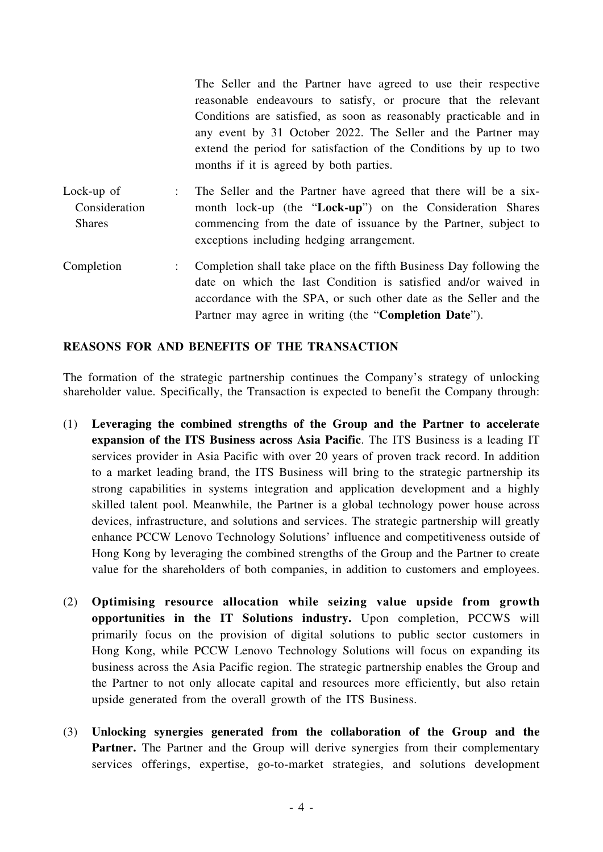The Seller and the Partner have agreed to use their respective reasonable endeavours to satisfy, or procure that the relevant Conditions are satisfied, as soon as reasonably practicable and in any event by 31 October 2022. The Seller and the Partner may extend the period for satisfaction of the Conditions by up to two months if it is agreed by both parties.

- Lock-up of Consideration Shares : The Seller and the Partner have agreed that there will be a sixmonth lock-up (the "**Lock-up**") on the Consideration Shares commencing from the date of issuance by the Partner, subject to exceptions including hedging arrangement.
- Completion : Completion shall take place on the fifth Business Day following the date on which the last Condition is satisfied and/or waived in accordance with the SPA, or such other date as the Seller and the Partner may agree in writing (the "**Completion Date**").

#### **REASONS FOR AND BENEFITS OF THE TRANSACTION**

The formation of the strategic partnership continues the Company's strategy of unlocking shareholder value. Specifically, the Transaction is expected to benefit the Company through:

- (1) **Leveraging the combined strengths of the Group and the Partner to accelerate expansion of the ITS Business across Asia Pacific**. The ITS Business is a leading IT services provider in Asia Pacific with over 20 years of proven track record. In addition to a market leading brand, the ITS Business will bring to the strategic partnership its strong capabilities in systems integration and application development and a highly skilled talent pool. Meanwhile, the Partner is a global technology power house across devices, infrastructure, and solutions and services. The strategic partnership will greatly enhance PCCW Lenovo Technology Solutions' influence and competitiveness outside of Hong Kong by leveraging the combined strengths of the Group and the Partner to create value for the shareholders of both companies, in addition to customers and employees.
- (2) **Optimising resource allocation while seizing value upside from growth opportunities in the IT Solutions industry.** Upon completion, PCCWS will primarily focus on the provision of digital solutions to public sector customers in Hong Kong, while PCCW Lenovo Technology Solutions will focus on expanding its business across the Asia Pacific region. The strategic partnership enables the Group and the Partner to not only allocate capital and resources more efficiently, but also retain upside generated from the overall growth of the ITS Business.
- (3) **Unlocking synergies generated from the collaboration of the Group and the** Partner. The Partner and the Group will derive synergies from their complementary services offerings, expertise, go-to-market strategies, and solutions development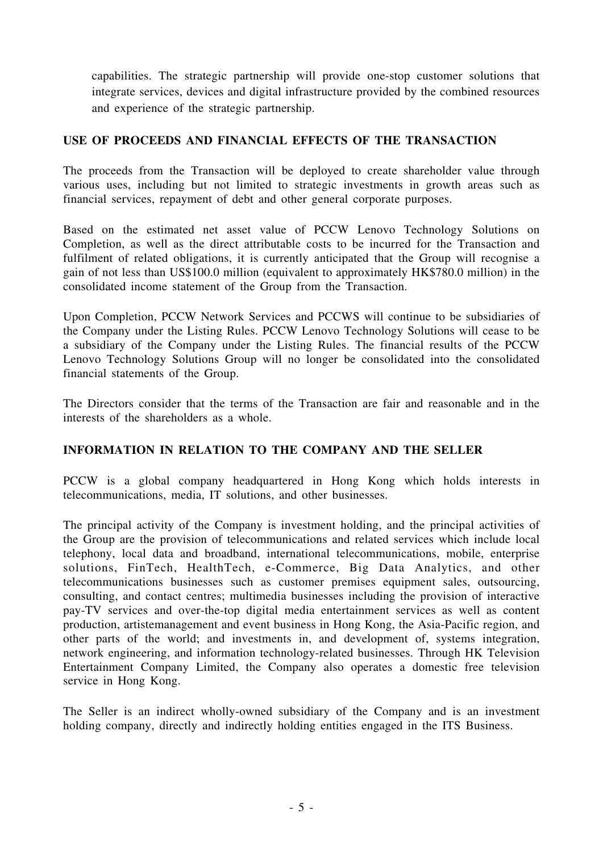capabilities. The strategic partnership will provide one-stop customer solutions that integrate services, devices and digital infrastructure provided by the combined resources and experience of the strategic partnership.

#### **USE OF PROCEEDS AND FINANCIAL EFFECTS OF THE TRANSACTION**

The proceeds from the Transaction will be deployed to create shareholder value through various uses, including but not limited to strategic investments in growth areas such as financial services, repayment of debt and other general corporate purposes.

Based on the estimated net asset value of PCCW Lenovo Technology Solutions on Completion, as well as the direct attributable costs to be incurred for the Transaction and fulfilment of related obligations, it is currently anticipated that the Group will recognise a gain of not less than US\$100.0 million (equivalent to approximately HK\$780.0 million) in the consolidated income statement of the Group from the Transaction.

Upon Completion, PCCW Network Services and PCCWS will continue to be subsidiaries of the Company under the Listing Rules. PCCW Lenovo Technology Solutions will cease to be a subsidiary of the Company under the Listing Rules. The financial results of the PCCW Lenovo Technology Solutions Group will no longer be consolidated into the consolidated financial statements of the Group.

The Directors consider that the terms of the Transaction are fair and reasonable and in the interests of the shareholders as a whole.

### **INFORMATION IN RELATION TO THE COMPANY AND THE SELLER**

PCCW is a global company headquartered in Hong Kong which holds interests in telecommunications, media, IT solutions, and other businesses.

The principal activity of the Company is investment holding, and the principal activities of the Group are the provision of telecommunications and related services which include local telephony, local data and broadband, international telecommunications, mobile, enterprise solutions, FinTech, HealthTech, e-Commerce, Big Data Analytics, and other telecommunications businesses such as customer premises equipment sales, outsourcing, consulting, and contact centres; multimedia businesses including the provision of interactive pay-TV services and over-the-top digital media entertainment services as well as content production, artistemanagement and event business in Hong Kong, the Asia-Pacific region, and other parts of the world; and investments in, and development of, systems integration, network engineering, and information technology-related businesses. Through HK Television Entertainment Company Limited, the Company also operates a domestic free television service in Hong Kong.

The Seller is an indirect wholly-owned subsidiary of the Company and is an investment holding company, directly and indirectly holding entities engaged in the ITS Business.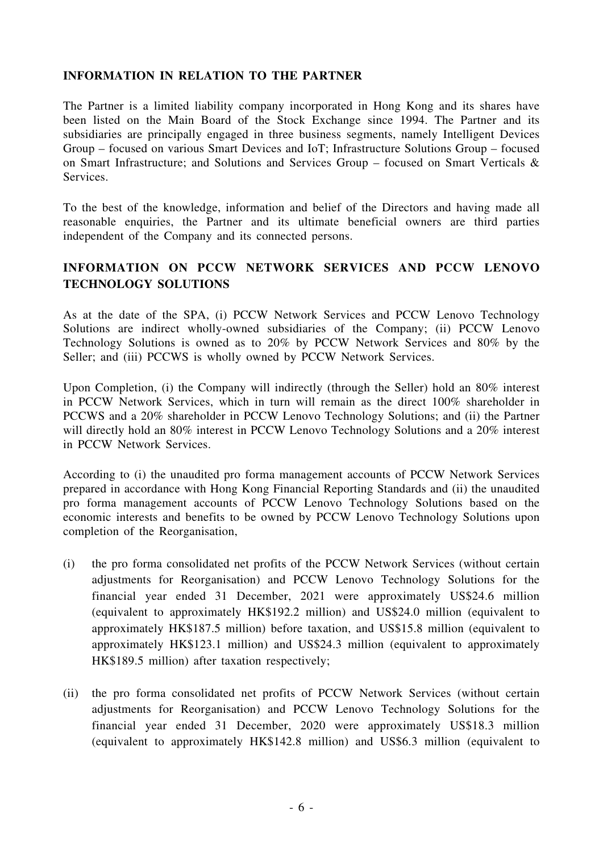#### **INFORMATION IN RELATION TO THE PARTNER**

The Partner is a limited liability company incorporated in Hong Kong and its shares have been listed on the Main Board of the Stock Exchange since 1994. The Partner and its subsidiaries are principally engaged in three business segments, namely Intelligent Devices Group – focused on various Smart Devices and IoT; Infrastructure Solutions Group – focused on Smart Infrastructure; and Solutions and Services Group – focused on Smart Verticals & Services.

To the best of the knowledge, information and belief of the Directors and having made all reasonable enquiries, the Partner and its ultimate beneficial owners are third parties independent of the Company and its connected persons.

### **INFORMATION ON PCCW NETWORK SERVICES AND PCCW LENOVO TECHNOLOGY SOLUTIONS**

As at the date of the SPA, (i) PCCW Network Services and PCCW Lenovo Technology Solutions are indirect wholly-owned subsidiaries of the Company; (ii) PCCW Lenovo Technology Solutions is owned as to 20% by PCCW Network Services and 80% by the Seller; and (iii) PCCWS is wholly owned by PCCW Network Services.

Upon Completion, (i) the Company will indirectly (through the Seller) hold an 80% interest in PCCW Network Services, which in turn will remain as the direct 100% shareholder in PCCWS and a 20% shareholder in PCCW Lenovo Technology Solutions; and (ii) the Partner will directly hold an 80% interest in PCCW Lenovo Technology Solutions and a 20% interest in PCCW Network Services.

According to (i) the unaudited pro forma management accounts of PCCW Network Services prepared in accordance with Hong Kong Financial Reporting Standards and (ii) the unaudited pro forma management accounts of PCCW Lenovo Technology Solutions based on the economic interests and benefits to be owned by PCCW Lenovo Technology Solutions upon completion of the Reorganisation,

- (i) the pro forma consolidated net profits of the PCCW Network Services (without certain adjustments for Reorganisation) and PCCW Lenovo Technology Solutions for the financial year ended 31 December, 2021 were approximately US\$24.6 million (equivalent to approximately HK\$192.2 million) and US\$24.0 million (equivalent to approximately HK\$187.5 million) before taxation, and US\$15.8 million (equivalent to approximately HK\$123.1 million) and US\$24.3 million (equivalent to approximately HK\$189.5 million) after taxation respectively;
- (ii) the pro forma consolidated net profits of PCCW Network Services (without certain adjustments for Reorganisation) and PCCW Lenovo Technology Solutions for the financial year ended 31 December, 2020 were approximately US\$18.3 million (equivalent to approximately HK\$142.8 million) and US\$6.3 million (equivalent to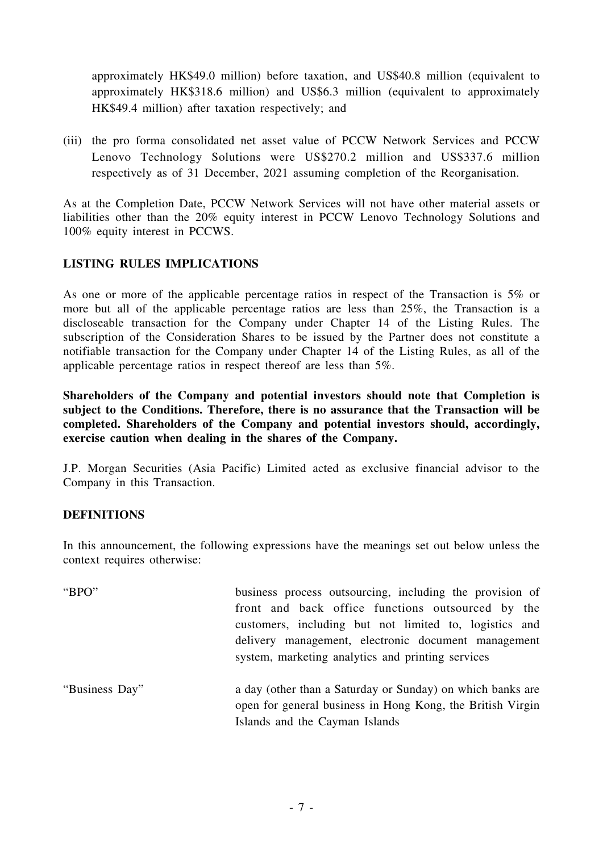approximately HK\$49.0 million) before taxation, and US\$40.8 million (equivalent to approximately HK\$318.6 million) and US\$6.3 million (equivalent to approximately HK\$49.4 million) after taxation respectively; and

(iii) the pro forma consolidated net asset value of PCCW Network Services and PCCW Lenovo Technology Solutions were US\$270.2 million and US\$337.6 million respectively as of 31 December, 2021 assuming completion of the Reorganisation.

As at the Completion Date, PCCW Network Services will not have other material assets or liabilities other than the 20% equity interest in PCCW Lenovo Technology Solutions and 100% equity interest in PCCWS.

### **LISTING RULES IMPLICATIONS**

As one or more of the applicable percentage ratios in respect of the Transaction is 5% or more but all of the applicable percentage ratios are less than 25%, the Transaction is a discloseable transaction for the Company under Chapter 14 of the Listing Rules. The subscription of the Consideration Shares to be issued by the Partner does not constitute a notifiable transaction for the Company under Chapter 14 of the Listing Rules, as all of the applicable percentage ratios in respect thereof are less than 5%.

**Shareholders of the Company and potential investors should note that Completion is subject to the Conditions. Therefore, there is no assurance that the Transaction will be completed. Shareholders of the Company and potential investors should, accordingly, exercise caution when dealing in the shares of the Company.**

J.P. Morgan Securities (Asia Pacific) Limited acted as exclusive financial advisor to the Company in this Transaction.

#### **DEFINITIONS**

In this announcement, the following expressions have the meanings set out below unless the context requires otherwise:

| "BPO"          | business process outsourcing, including the provision of<br>front and back office functions outsourced by the<br>customers, including but not limited to, logistics and |
|----------------|-------------------------------------------------------------------------------------------------------------------------------------------------------------------------|
|                | delivery management, electronic document management<br>system, marketing analytics and printing services                                                                |
| "Business Day" | a day (other than a Saturday or Sunday) on which banks are<br>open for general business in Hong Kong, the British Virgin<br>Islands and the Cayman Islands              |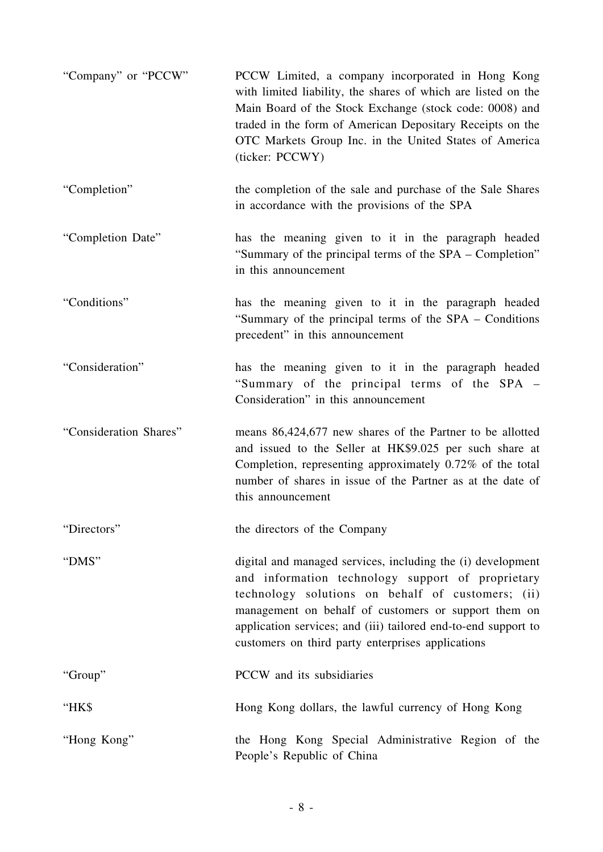| "Company" or "PCCW"    | PCCW Limited, a company incorporated in Hong Kong<br>with limited liability, the shares of which are listed on the<br>Main Board of the Stock Exchange (stock code: 0008) and<br>traded in the form of American Depositary Receipts on the<br>OTC Markets Group Inc. in the United States of America<br>(ticker: PCCWY)                              |
|------------------------|------------------------------------------------------------------------------------------------------------------------------------------------------------------------------------------------------------------------------------------------------------------------------------------------------------------------------------------------------|
| "Completion"           | the completion of the sale and purchase of the Sale Shares<br>in accordance with the provisions of the SPA                                                                                                                                                                                                                                           |
| "Completion Date"      | has the meaning given to it in the paragraph headed<br>"Summary of the principal terms of the SPA - Completion"<br>in this announcement                                                                                                                                                                                                              |
| "Conditions"           | has the meaning given to it in the paragraph headed<br>"Summary of the principal terms of the SPA – Conditions<br>precedent" in this announcement                                                                                                                                                                                                    |
| "Consideration"        | has the meaning given to it in the paragraph headed<br>"Summary of the principal terms of the SPA -<br>Consideration" in this announcement                                                                                                                                                                                                           |
| "Consideration Shares" | means 86,424,677 new shares of the Partner to be allotted<br>and issued to the Seller at HK\$9.025 per such share at<br>Completion, representing approximately 0.72% of the total<br>number of shares in issue of the Partner as at the date of<br>this announcement                                                                                 |
| "Directors"            | the directors of the Company                                                                                                                                                                                                                                                                                                                         |
| "DMS"                  | digital and managed services, including the (i) development<br>and information technology support of proprietary<br>technology solutions on behalf of customers; (ii)<br>management on behalf of customers or support them on<br>application services; and (iii) tailored end-to-end support to<br>customers on third party enterprises applications |
| "Group"                | PCCW and its subsidiaries                                                                                                                                                                                                                                                                                                                            |
| "HK\$                  | Hong Kong dollars, the lawful currency of Hong Kong                                                                                                                                                                                                                                                                                                  |
| "Hong Kong"            | the Hong Kong Special Administrative Region of the<br>People's Republic of China                                                                                                                                                                                                                                                                     |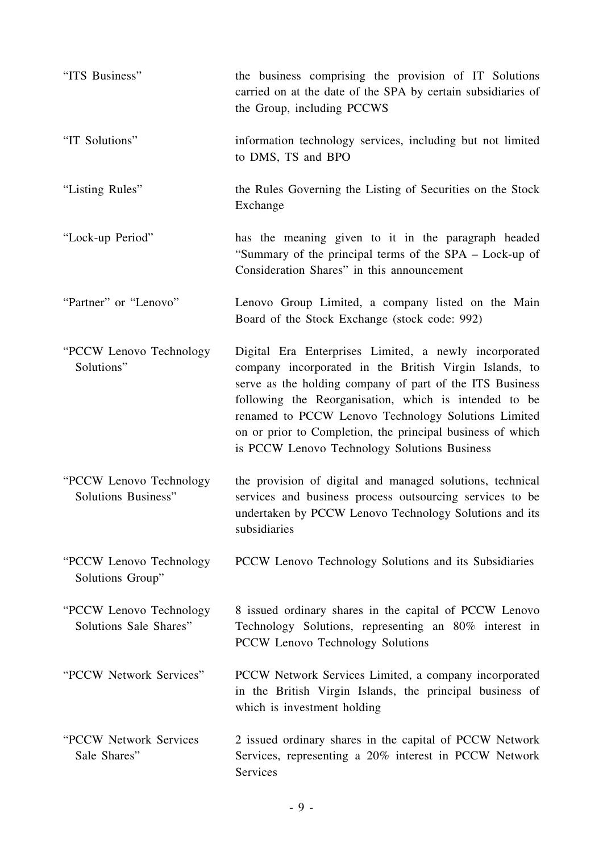| "ITS Business"                                         | the business comprising the provision of IT Solutions<br>carried on at the date of the SPA by certain subsidiaries of<br>the Group, including PCCWS                                                                                                                                                                                                                                                       |
|--------------------------------------------------------|-----------------------------------------------------------------------------------------------------------------------------------------------------------------------------------------------------------------------------------------------------------------------------------------------------------------------------------------------------------------------------------------------------------|
| "IT Solutions"                                         | information technology services, including but not limited<br>to DMS, TS and BPO                                                                                                                                                                                                                                                                                                                          |
| "Listing Rules"                                        | the Rules Governing the Listing of Securities on the Stock<br>Exchange                                                                                                                                                                                                                                                                                                                                    |
| "Lock-up Period"                                       | has the meaning given to it in the paragraph headed<br>"Summary of the principal terms of the SPA – Lock-up of<br>Consideration Shares" in this announcement                                                                                                                                                                                                                                              |
| "Partner" or "Lenovo"                                  | Lenovo Group Limited, a company listed on the Main<br>Board of the Stock Exchange (stock code: 992)                                                                                                                                                                                                                                                                                                       |
| "PCCW Lenovo Technology"<br>Solutions"                 | Digital Era Enterprises Limited, a newly incorporated<br>company incorporated in the British Virgin Islands, to<br>serve as the holding company of part of the ITS Business<br>following the Reorganisation, which is intended to be<br>renamed to PCCW Lenovo Technology Solutions Limited<br>on or prior to Completion, the principal business of which<br>is PCCW Lenovo Technology Solutions Business |
| "PCCW Lenovo Technology"<br><b>Solutions Business"</b> | the provision of digital and managed solutions, technical<br>services and business process outsourcing services to be<br>undertaken by PCCW Lenovo Technology Solutions and its<br>subsidiaries                                                                                                                                                                                                           |
| "PCCW Lenovo Technology"<br>Solutions Group"           | PCCW Lenovo Technology Solutions and its Subsidiaries                                                                                                                                                                                                                                                                                                                                                     |
| "PCCW Lenovo Technology"<br>Solutions Sale Shares"     | 8 issued ordinary shares in the capital of PCCW Lenovo<br>Technology Solutions, representing an 80% interest in<br>PCCW Lenovo Technology Solutions                                                                                                                                                                                                                                                       |
| "PCCW Network Services"                                | PCCW Network Services Limited, a company incorporated<br>in the British Virgin Islands, the principal business of<br>which is investment holding                                                                                                                                                                                                                                                          |
| "PCCW Network Services<br>Sale Shares"                 | 2 issued ordinary shares in the capital of PCCW Network<br>Services, representing a 20% interest in PCCW Network<br>Services                                                                                                                                                                                                                                                                              |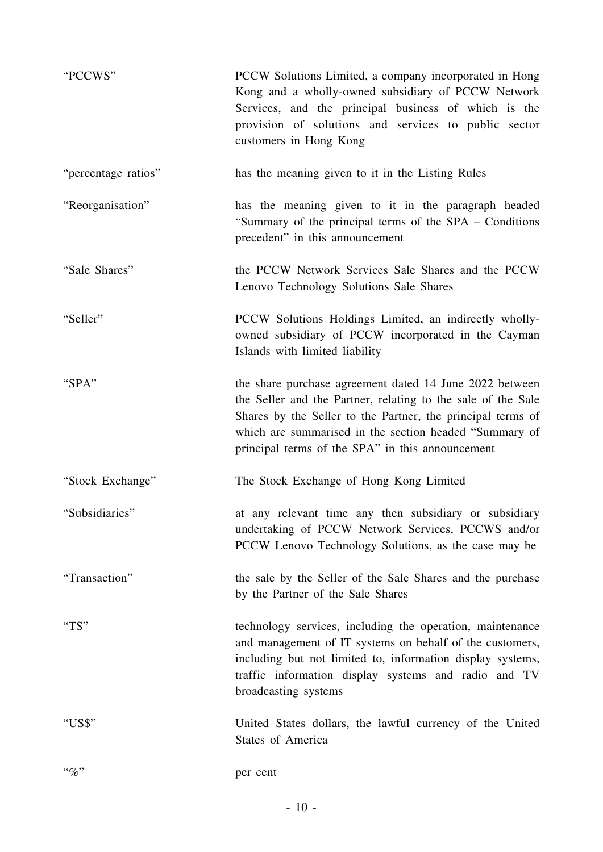| "PCCWS"             | PCCW Solutions Limited, a company incorporated in Hong<br>Kong and a wholly-owned subsidiary of PCCW Network<br>Services, and the principal business of which is the<br>provision of solutions and services to public sector<br>customers in Hong Kong                                               |
|---------------------|------------------------------------------------------------------------------------------------------------------------------------------------------------------------------------------------------------------------------------------------------------------------------------------------------|
| "percentage ratios" | has the meaning given to it in the Listing Rules                                                                                                                                                                                                                                                     |
| "Reorganisation"    | has the meaning given to it in the paragraph headed<br>"Summary of the principal terms of the SPA – Conditions<br>precedent" in this announcement                                                                                                                                                    |
| "Sale Shares"       | the PCCW Network Services Sale Shares and the PCCW<br>Lenovo Technology Solutions Sale Shares                                                                                                                                                                                                        |
| "Seller"            | PCCW Solutions Holdings Limited, an indirectly wholly-<br>owned subsidiary of PCCW incorporated in the Cayman<br>Islands with limited liability                                                                                                                                                      |
| "SPA"               | the share purchase agreement dated 14 June 2022 between<br>the Seller and the Partner, relating to the sale of the Sale<br>Shares by the Seller to the Partner, the principal terms of<br>which are summarised in the section headed "Summary of<br>principal terms of the SPA" in this announcement |
| "Stock Exchange"    | The Stock Exchange of Hong Kong Limited                                                                                                                                                                                                                                                              |
| "Subsidiaries"      | at any relevant time any then subsidiary or subsidiary<br>undertaking of PCCW Network Services, PCCWS and/or<br>PCCW Lenovo Technology Solutions, as the case may be                                                                                                                                 |
| "Transaction"       | the sale by the Seller of the Sale Shares and the purchase<br>by the Partner of the Sale Shares                                                                                                                                                                                                      |
| "TS"                | technology services, including the operation, maintenance<br>and management of IT systems on behalf of the customers,<br>including but not limited to, information display systems,<br>traffic information display systems and radio and TV<br>broadcasting systems                                  |
| "US\$"              | United States dollars, the lawful currency of the United<br><b>States of America</b>                                                                                                                                                                                                                 |
| $``\%"$             | per cent                                                                                                                                                                                                                                                                                             |